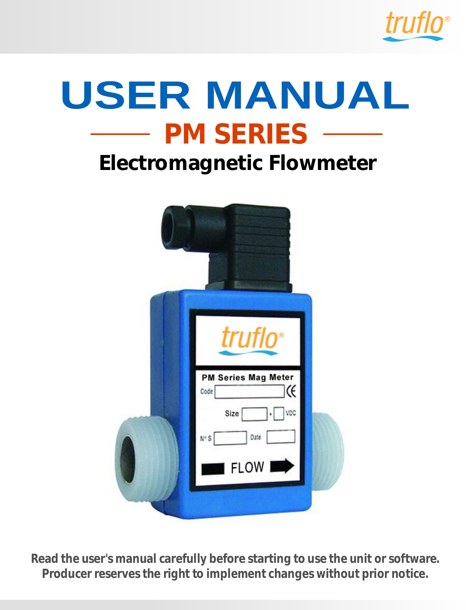

# **USER MANUAL PM SERIES**

# **Electromagnetic Flowmeter**

| truflo <sup>®</sup>                                                |  |
|--------------------------------------------------------------------|--|
| <b>PM Series Mag Meter</b><br>$\mathfrak K$<br>Code<br>VDC<br>Size |  |
| Date<br>N° S<br><b>FLOW</b>                                        |  |

**Read the user's manual carefully before starting to use the unit or software. Producer reserves the right to implement changes without prior notice.**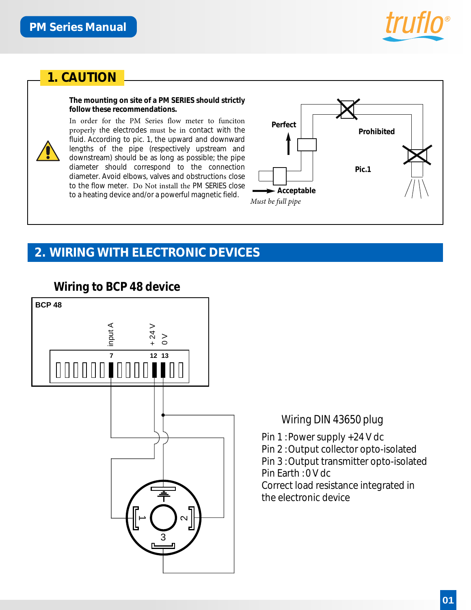

### **1. CAUTION**

#### **The mounting on site of a PM SERIES should strictly follow these recommendations.**

In order for the PM Series flow meter to funciton properly the electrodes must be in contact with the fluid. According to pic. 1, the upward and downward lengths of the pipe (respectively upstream and downstream) should be as long as possible; the pipe diameter should correspond to the connection diameter. Avoid elbows, valves and obstructions close to the flow meter. Do Not install the PM SERIES close to a heating device and/or a powerful magnetic field.



## **2. WIRING WITH ELECTRONIC DEVICES**





#### *Wiring DIN 43650 plug*

Pin 1 : Power supply +24 V dc Pin 2 : Output collector opto-isolated Pin 3 : Output transmitter opto-isolated Pin Earth : 0 V dc Correct load resistance integrated in the electronic device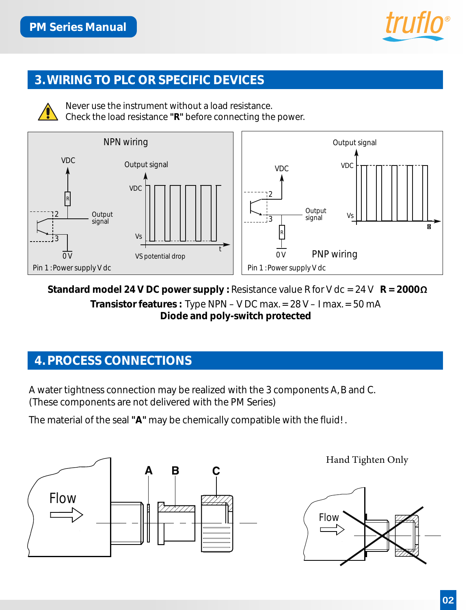

# **3. WIRING TO PLC OR SPECIFIC DEVICES**

Never use the instrument without a load resistance.

Check the load resistance "R" before connecting the power.



**Standard model 24 V DC power supply :** Resistance value R for V dc =  $24$  V  $R = 2000\Omega$ **Transistor features :** Type NPN – V DC max. = 28 V – I max. = 50 mA **Diode and poly-switch protected**

# **4.PROCESS CONNECTIONS**

A water tightness connection may be realized with the 3 components A, B and C. (These components are not delivered with the PM Series)

The material of the seal **"A"** may be chemically compatible with the fluid! .



Hand Tighten Only